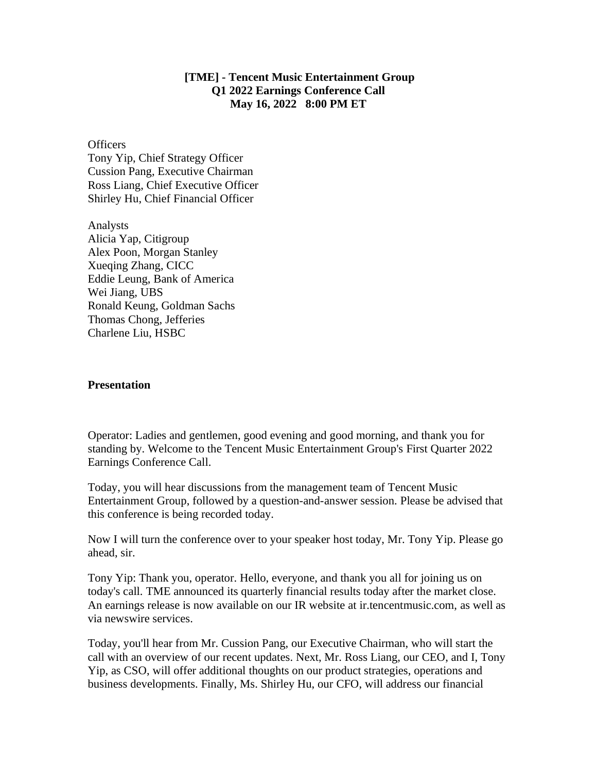## **[TME] - Tencent Music Entertainment Group Q1 2022 Earnings Conference Call May 16, 2022 8:00 PM ET**

**Officers** Tony Yip, Chief Strategy Officer Cussion Pang, Executive Chairman Ross Liang, Chief Executive Officer Shirley Hu, Chief Financial Officer

Analysts Alicia Yap, Citigroup Alex Poon, Morgan Stanley Xueqing Zhang, CICC Eddie Leung, Bank of America Wei Jiang, UBS Ronald Keung, Goldman Sachs Thomas Chong, Jefferies Charlene Liu, HSBC

## **Presentation**

Operator: Ladies and gentlemen, good evening and good morning, and thank you for standing by. Welcome to the Tencent Music Entertainment Group's First Quarter 2022 Earnings Conference Call.

Today, you will hear discussions from the management team of Tencent Music Entertainment Group, followed by a question-and-answer session. Please be advised that this conference is being recorded today.

Now I will turn the conference over to your speaker host today, Mr. Tony Yip. Please go ahead, sir.

Tony Yip: Thank you, operator. Hello, everyone, and thank you all for joining us on today's call. TME announced its quarterly financial results today after the market close. An earnings release is now available on our IR website at ir.tencentmusic.com, as well as via newswire services.

Today, you'll hear from Mr. Cussion Pang, our Executive Chairman, who will start the call with an overview of our recent updates. Next, Mr. Ross Liang, our CEO, and I, Tony Yip, as CSO, will offer additional thoughts on our product strategies, operations and business developments. Finally, Ms. Shirley Hu, our CFO, will address our financial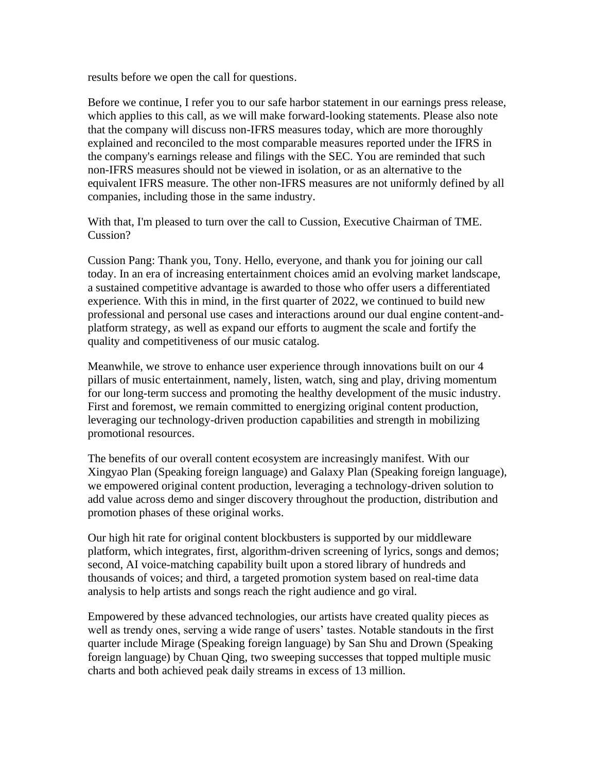results before we open the call for questions.

Before we continue, I refer you to our safe harbor statement in our earnings press release, which applies to this call, as we will make forward-looking statements. Please also note that the company will discuss non-IFRS measures today, which are more thoroughly explained and reconciled to the most comparable measures reported under the IFRS in the company's earnings release and filings with the SEC. You are reminded that such non-IFRS measures should not be viewed in isolation, or as an alternative to the equivalent IFRS measure. The other non-IFRS measures are not uniformly defined by all companies, including those in the same industry.

With that, I'm pleased to turn over the call to Cussion, Executive Chairman of TME. Cussion?

Cussion Pang: Thank you, Tony. Hello, everyone, and thank you for joining our call today. In an era of increasing entertainment choices amid an evolving market landscape, a sustained competitive advantage is awarded to those who offer users a differentiated experience. With this in mind, in the first quarter of 2022, we continued to build new professional and personal use cases and interactions around our dual engine content-andplatform strategy, as well as expand our efforts to augment the scale and fortify the quality and competitiveness of our music catalog.

Meanwhile, we strove to enhance user experience through innovations built on our 4 pillars of music entertainment, namely, listen, watch, sing and play, driving momentum for our long-term success and promoting the healthy development of the music industry. First and foremost, we remain committed to energizing original content production, leveraging our technology-driven production capabilities and strength in mobilizing promotional resources.

The benefits of our overall content ecosystem are increasingly manifest. With our Xingyao Plan (Speaking foreign language) and Galaxy Plan (Speaking foreign language), we empowered original content production, leveraging a technology-driven solution to add value across demo and singer discovery throughout the production, distribution and promotion phases of these original works.

Our high hit rate for original content blockbusters is supported by our middleware platform, which integrates, first, algorithm-driven screening of lyrics, songs and demos; second, AI voice-matching capability built upon a stored library of hundreds and thousands of voices; and third, a targeted promotion system based on real-time data analysis to help artists and songs reach the right audience and go viral.

Empowered by these advanced technologies, our artists have created quality pieces as well as trendy ones, serving a wide range of users' tastes. Notable standouts in the first quarter include Mirage (Speaking foreign language) by San Shu and Drown (Speaking foreign language) by Chuan Qing, two sweeping successes that topped multiple music charts and both achieved peak daily streams in excess of 13 million.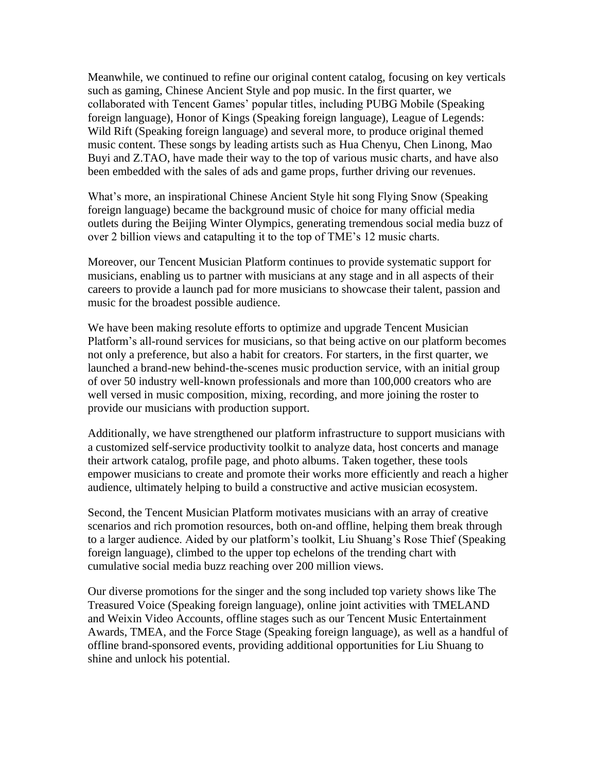Meanwhile, we continued to refine our original content catalog, focusing on key verticals such as gaming, Chinese Ancient Style and pop music. In the first quarter, we collaborated with Tencent Games' popular titles, including PUBG Mobile (Speaking foreign language), Honor of Kings (Speaking foreign language), League of Legends: Wild Rift (Speaking foreign language) and several more, to produce original themed music content. These songs by leading artists such as Hua Chenyu, Chen Linong, Mao Buyi and Z.TAO, have made their way to the top of various music charts, and have also been embedded with the sales of ads and game props, further driving our revenues.

What's more, an inspirational Chinese Ancient Style hit song Flying Snow (Speaking foreign language) became the background music of choice for many official media outlets during the Beijing Winter Olympics, generating tremendous social media buzz of over 2 billion views and catapulting it to the top of TME's 12 music charts.

Moreover, our Tencent Musician Platform continues to provide systematic support for musicians, enabling us to partner with musicians at any stage and in all aspects of their careers to provide a launch pad for more musicians to showcase their talent, passion and music for the broadest possible audience.

We have been making resolute efforts to optimize and upgrade Tencent Musician Platform's all-round services for musicians, so that being active on our platform becomes not only a preference, but also a habit for creators. For starters, in the first quarter, we launched a brand-new behind-the-scenes music production service, with an initial group of over 50 industry well-known professionals and more than 100,000 creators who are well versed in music composition, mixing, recording, and more joining the roster to provide our musicians with production support.

Additionally, we have strengthened our platform infrastructure to support musicians with a customized self-service productivity toolkit to analyze data, host concerts and manage their artwork catalog, profile page, and photo albums. Taken together, these tools empower musicians to create and promote their works more efficiently and reach a higher audience, ultimately helping to build a constructive and active musician ecosystem.

Second, the Tencent Musician Platform motivates musicians with an array of creative scenarios and rich promotion resources, both on-and offline, helping them break through to a larger audience. Aided by our platform's toolkit, Liu Shuang's Rose Thief (Speaking foreign language), climbed to the upper top echelons of the trending chart with cumulative social media buzz reaching over 200 million views.

Our diverse promotions for the singer and the song included top variety shows like The Treasured Voice (Speaking foreign language), online joint activities with TMELAND and Weixin Video Accounts, offline stages such as our Tencent Music Entertainment Awards, TMEA, and the Force Stage (Speaking foreign language), as well as a handful of offline brand-sponsored events, providing additional opportunities for Liu Shuang to shine and unlock his potential.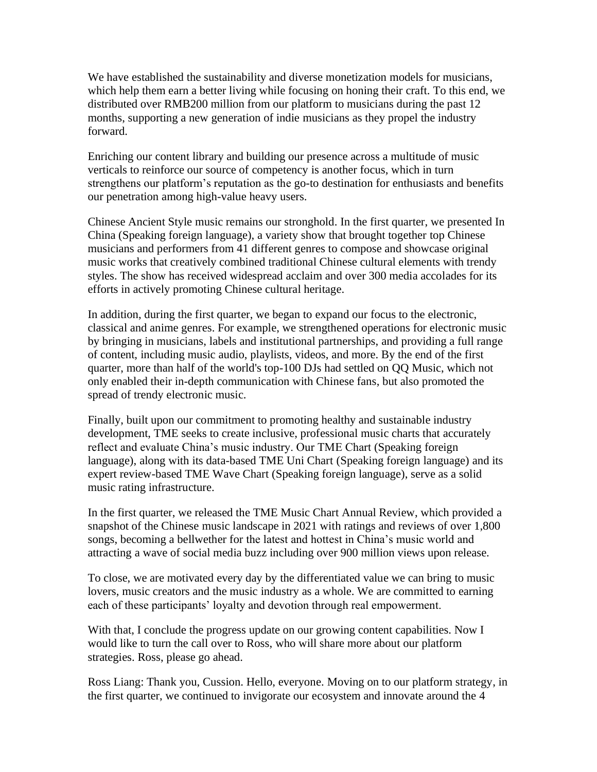We have established the sustainability and diverse monetization models for musicians, which help them earn a better living while focusing on honing their craft. To this end, we distributed over RMB200 million from our platform to musicians during the past 12 months, supporting a new generation of indie musicians as they propel the industry forward.

Enriching our content library and building our presence across a multitude of music verticals to reinforce our source of competency is another focus, which in turn strengthens our platform's reputation as the go-to destination for enthusiasts and benefits our penetration among high-value heavy users.

Chinese Ancient Style music remains our stronghold. In the first quarter, we presented In China (Speaking foreign language), a variety show that brought together top Chinese musicians and performers from 41 different genres to compose and showcase original music works that creatively combined traditional Chinese cultural elements with trendy styles. The show has received widespread acclaim and over 300 media accolades for its efforts in actively promoting Chinese cultural heritage.

In addition, during the first quarter, we began to expand our focus to the electronic, classical and anime genres. For example, we strengthened operations for electronic music by bringing in musicians, labels and institutional partnerships, and providing a full range of content, including music audio, playlists, videos, and more. By the end of the first quarter, more than half of the world's top-100 DJs had settled on QQ Music, which not only enabled their in-depth communication with Chinese fans, but also promoted the spread of trendy electronic music.

Finally, built upon our commitment to promoting healthy and sustainable industry development, TME seeks to create inclusive, professional music charts that accurately reflect and evaluate China's music industry. Our TME Chart (Speaking foreign language), along with its data-based TME Uni Chart (Speaking foreign language) and its expert review-based TME Wave Chart (Speaking foreign language), serve as a solid music rating infrastructure.

In the first quarter, we released the TME Music Chart Annual Review, which provided a snapshot of the Chinese music landscape in 2021 with ratings and reviews of over 1,800 songs, becoming a bellwether for the latest and hottest in China's music world and attracting a wave of social media buzz including over 900 million views upon release.

To close, we are motivated every day by the differentiated value we can bring to music lovers, music creators and the music industry as a whole. We are committed to earning each of these participants' loyalty and devotion through real empowerment.

With that, I conclude the progress update on our growing content capabilities. Now I would like to turn the call over to Ross, who will share more about our platform strategies. Ross, please go ahead.

Ross Liang: Thank you, Cussion. Hello, everyone. Moving on to our platform strategy, in the first quarter, we continued to invigorate our ecosystem and innovate around the 4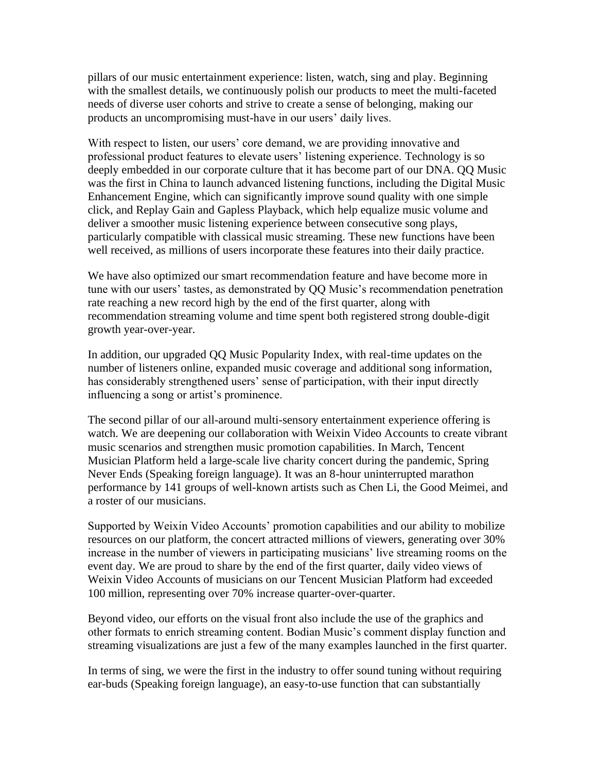pillars of our music entertainment experience: listen, watch, sing and play. Beginning with the smallest details, we continuously polish our products to meet the multi-faceted needs of diverse user cohorts and strive to create a sense of belonging, making our products an uncompromising must-have in our users' daily lives.

With respect to listen, our users' core demand, we are providing innovative and professional product features to elevate users' listening experience. Technology is so deeply embedded in our corporate culture that it has become part of our DNA. QQ Music was the first in China to launch advanced listening functions, including the Digital Music Enhancement Engine, which can significantly improve sound quality with one simple click, and Replay Gain and Gapless Playback, which help equalize music volume and deliver a smoother music listening experience between consecutive song plays, particularly compatible with classical music streaming. These new functions have been well received, as millions of users incorporate these features into their daily practice.

We have also optimized our smart recommendation feature and have become more in tune with our users' tastes, as demonstrated by QQ Music's recommendation penetration rate reaching a new record high by the end of the first quarter, along with recommendation streaming volume and time spent both registered strong double-digit growth year-over-year.

In addition, our upgraded QQ Music Popularity Index, with real-time updates on the number of listeners online, expanded music coverage and additional song information, has considerably strengthened users' sense of participation, with their input directly influencing a song or artist's prominence.

The second pillar of our all-around multi-sensory entertainment experience offering is watch. We are deepening our collaboration with Weixin Video Accounts to create vibrant music scenarios and strengthen music promotion capabilities. In March, Tencent Musician Platform held a large-scale live charity concert during the pandemic, Spring Never Ends (Speaking foreign language). It was an 8-hour uninterrupted marathon performance by 141 groups of well-known artists such as Chen Li, the Good Meimei, and a roster of our musicians.

Supported by Weixin Video Accounts' promotion capabilities and our ability to mobilize resources on our platform, the concert attracted millions of viewers, generating over 30% increase in the number of viewers in participating musicians' live streaming rooms on the event day. We are proud to share by the end of the first quarter, daily video views of Weixin Video Accounts of musicians on our Tencent Musician Platform had exceeded 100 million, representing over 70% increase quarter-over-quarter.

Beyond video, our efforts on the visual front also include the use of the graphics and other formats to enrich streaming content. Bodian Music's comment display function and streaming visualizations are just a few of the many examples launched in the first quarter.

In terms of sing, we were the first in the industry to offer sound tuning without requiring ear-buds (Speaking foreign language), an easy-to-use function that can substantially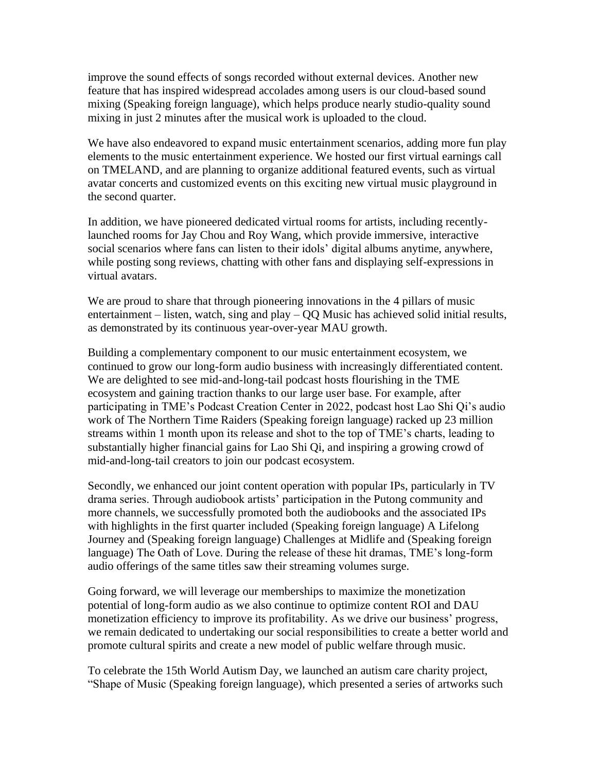improve the sound effects of songs recorded without external devices. Another new feature that has inspired widespread accolades among users is our cloud-based sound mixing (Speaking foreign language), which helps produce nearly studio-quality sound mixing in just 2 minutes after the musical work is uploaded to the cloud.

We have also endeavored to expand music entertainment scenarios, adding more fun play elements to the music entertainment experience. We hosted our first virtual earnings call on TMELAND, and are planning to organize additional featured events, such as virtual avatar concerts and customized events on this exciting new virtual music playground in the second quarter.

In addition, we have pioneered dedicated virtual rooms for artists, including recentlylaunched rooms for Jay Chou and Roy Wang, which provide immersive, interactive social scenarios where fans can listen to their idols' digital albums anytime, anywhere, while posting song reviews, chatting with other fans and displaying self-expressions in virtual avatars.

We are proud to share that through pioneering innovations in the 4 pillars of music entertainment – listen, watch, sing and play – QQ Music has achieved solid initial results, as demonstrated by its continuous year-over-year MAU growth.

Building a complementary component to our music entertainment ecosystem, we continued to grow our long-form audio business with increasingly differentiated content. We are delighted to see mid-and-long-tail podcast hosts flourishing in the TME ecosystem and gaining traction thanks to our large user base. For example, after participating in TME's Podcast Creation Center in 2022, podcast host Lao Shi Qi's audio work of The Northern Time Raiders (Speaking foreign language) racked up 23 million streams within 1 month upon its release and shot to the top of TME's charts, leading to substantially higher financial gains for Lao Shi Qi, and inspiring a growing crowd of mid-and-long-tail creators to join our podcast ecosystem.

Secondly, we enhanced our joint content operation with popular IPs, particularly in TV drama series. Through audiobook artists' participation in the Putong community and more channels, we successfully promoted both the audiobooks and the associated IPs with highlights in the first quarter included (Speaking foreign language) A Lifelong Journey and (Speaking foreign language) Challenges at Midlife and (Speaking foreign language) The Oath of Love. During the release of these hit dramas, TME's long-form audio offerings of the same titles saw their streaming volumes surge.

Going forward, we will leverage our memberships to maximize the monetization potential of long-form audio as we also continue to optimize content ROI and DAU monetization efficiency to improve its profitability. As we drive our business' progress, we remain dedicated to undertaking our social responsibilities to create a better world and promote cultural spirits and create a new model of public welfare through music.

To celebrate the 15th World Autism Day, we launched an autism care charity project, "Shape of Music (Speaking foreign language), which presented a series of artworks such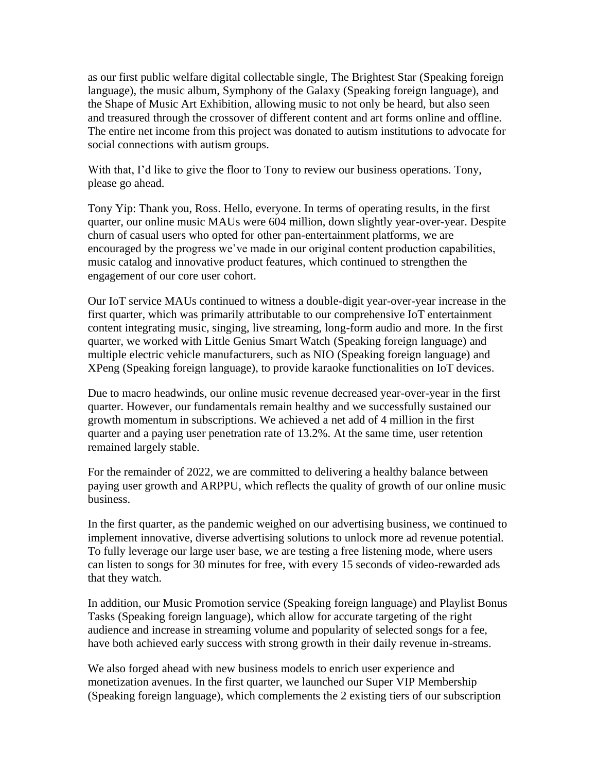as our first public welfare digital collectable single, The Brightest Star (Speaking foreign language), the music album, Symphony of the Galaxy (Speaking foreign language), and the Shape of Music Art Exhibition, allowing music to not only be heard, but also seen and treasured through the crossover of different content and art forms online and offline. The entire net income from this project was donated to autism institutions to advocate for social connections with autism groups.

With that, I'd like to give the floor to Tony to review our business operations. Tony, please go ahead.

Tony Yip: Thank you, Ross. Hello, everyone. In terms of operating results, in the first quarter, our online music MAUs were 604 million, down slightly year-over-year. Despite churn of casual users who opted for other pan-entertainment platforms, we are encouraged by the progress we've made in our original content production capabilities, music catalog and innovative product features, which continued to strengthen the engagement of our core user cohort.

Our IoT service MAUs continued to witness a double-digit year-over-year increase in the first quarter, which was primarily attributable to our comprehensive IoT entertainment content integrating music, singing, live streaming, long-form audio and more. In the first quarter, we worked with Little Genius Smart Watch (Speaking foreign language) and multiple electric vehicle manufacturers, such as NIO (Speaking foreign language) and XPeng (Speaking foreign language), to provide karaoke functionalities on IoT devices.

Due to macro headwinds, our online music revenue decreased year-over-year in the first quarter. However, our fundamentals remain healthy and we successfully sustained our growth momentum in subscriptions. We achieved a net add of 4 million in the first quarter and a paying user penetration rate of 13.2%. At the same time, user retention remained largely stable.

For the remainder of 2022, we are committed to delivering a healthy balance between paying user growth and ARPPU, which reflects the quality of growth of our online music business.

In the first quarter, as the pandemic weighed on our advertising business, we continued to implement innovative, diverse advertising solutions to unlock more ad revenue potential. To fully leverage our large user base, we are testing a free listening mode, where users can listen to songs for 30 minutes for free, with every 15 seconds of video-rewarded ads that they watch.

In addition, our Music Promotion service (Speaking foreign language) and Playlist Bonus Tasks (Speaking foreign language), which allow for accurate targeting of the right audience and increase in streaming volume and popularity of selected songs for a fee, have both achieved early success with strong growth in their daily revenue in-streams.

We also forged ahead with new business models to enrich user experience and monetization avenues. In the first quarter, we launched our Super VIP Membership (Speaking foreign language), which complements the 2 existing tiers of our subscription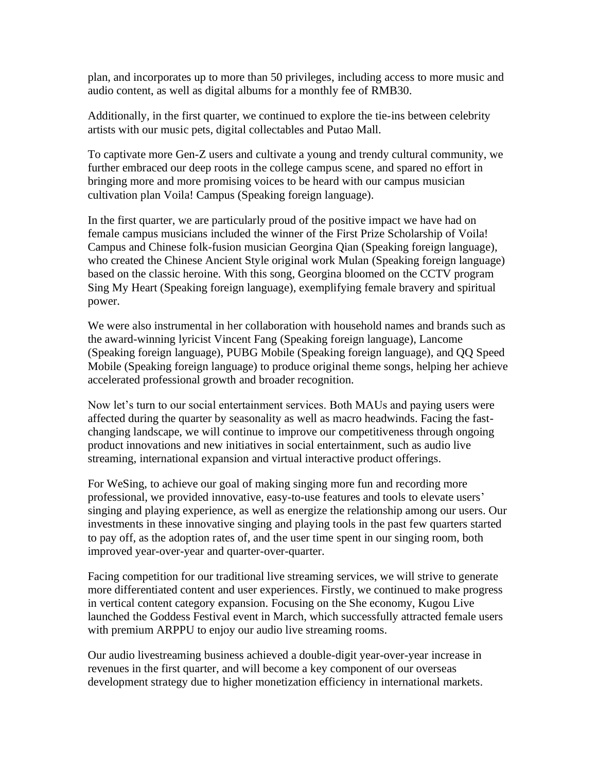plan, and incorporates up to more than 50 privileges, including access to more music and audio content, as well as digital albums for a monthly fee of RMB30.

Additionally, in the first quarter, we continued to explore the tie-ins between celebrity artists with our music pets, digital collectables and Putao Mall.

To captivate more Gen-Z users and cultivate a young and trendy cultural community, we further embraced our deep roots in the college campus scene, and spared no effort in bringing more and more promising voices to be heard with our campus musician cultivation plan Voila! Campus (Speaking foreign language).

In the first quarter, we are particularly proud of the positive impact we have had on female campus musicians included the winner of the First Prize Scholarship of Voila! Campus and Chinese folk-fusion musician Georgina Qian (Speaking foreign language), who created the Chinese Ancient Style original work Mulan (Speaking foreign language) based on the classic heroine. With this song, Georgina bloomed on the CCTV program Sing My Heart (Speaking foreign language), exemplifying female bravery and spiritual power.

We were also instrumental in her collaboration with household names and brands such as the award-winning lyricist Vincent Fang (Speaking foreign language), Lancome (Speaking foreign language), PUBG Mobile (Speaking foreign language), and QQ Speed Mobile (Speaking foreign language) to produce original theme songs, helping her achieve accelerated professional growth and broader recognition.

Now let's turn to our social entertainment services. Both MAUs and paying users were affected during the quarter by seasonality as well as macro headwinds. Facing the fastchanging landscape, we will continue to improve our competitiveness through ongoing product innovations and new initiatives in social entertainment, such as audio live streaming, international expansion and virtual interactive product offerings.

For WeSing, to achieve our goal of making singing more fun and recording more professional, we provided innovative, easy-to-use features and tools to elevate users' singing and playing experience, as well as energize the relationship among our users. Our investments in these innovative singing and playing tools in the past few quarters started to pay off, as the adoption rates of, and the user time spent in our singing room, both improved year-over-year and quarter-over-quarter.

Facing competition for our traditional live streaming services, we will strive to generate more differentiated content and user experiences. Firstly, we continued to make progress in vertical content category expansion. Focusing on the She economy, Kugou Live launched the Goddess Festival event in March, which successfully attracted female users with premium ARPPU to enjoy our audio live streaming rooms.

Our audio livestreaming business achieved a double-digit year-over-year increase in revenues in the first quarter, and will become a key component of our overseas development strategy due to higher monetization efficiency in international markets.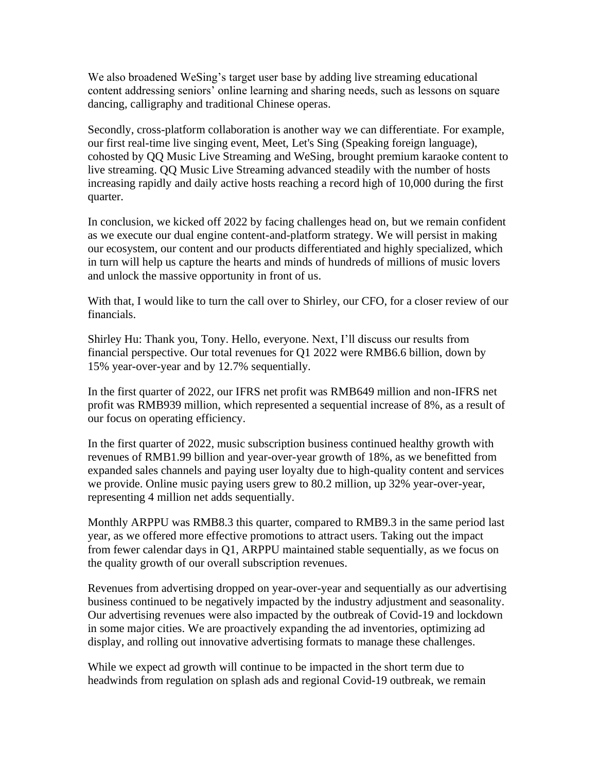We also broadened WeSing's target user base by adding live streaming educational content addressing seniors' online learning and sharing needs, such as lessons on square dancing, calligraphy and traditional Chinese operas.

Secondly, cross-platform collaboration is another way we can differentiate. For example, our first real-time live singing event, Meet, Let's Sing (Speaking foreign language), cohosted by QQ Music Live Streaming and WeSing, brought premium karaoke content to live streaming. QQ Music Live Streaming advanced steadily with the number of hosts increasing rapidly and daily active hosts reaching a record high of 10,000 during the first quarter.

In conclusion, we kicked off 2022 by facing challenges head on, but we remain confident as we execute our dual engine content-and-platform strategy. We will persist in making our ecosystem, our content and our products differentiated and highly specialized, which in turn will help us capture the hearts and minds of hundreds of millions of music lovers and unlock the massive opportunity in front of us.

With that, I would like to turn the call over to Shirley, our CFO, for a closer review of our financials.

Shirley Hu: Thank you, Tony. Hello, everyone. Next, I'll discuss our results from financial perspective. Our total revenues for Q1 2022 were RMB6.6 billion, down by 15% year-over-year and by 12.7% sequentially.

In the first quarter of 2022, our IFRS net profit was RMB649 million and non-IFRS net profit was RMB939 million, which represented a sequential increase of 8%, as a result of our focus on operating efficiency.

In the first quarter of 2022, music subscription business continued healthy growth with revenues of RMB1.99 billion and year-over-year growth of 18%, as we benefitted from expanded sales channels and paying user loyalty due to high-quality content and services we provide. Online music paying users grew to 80.2 million, up 32% year-over-year, representing 4 million net adds sequentially.

Monthly ARPPU was RMB8.3 this quarter, compared to RMB9.3 in the same period last year, as we offered more effective promotions to attract users. Taking out the impact from fewer calendar days in Q1, ARPPU maintained stable sequentially, as we focus on the quality growth of our overall subscription revenues.

Revenues from advertising dropped on year-over-year and sequentially as our advertising business continued to be negatively impacted by the industry adjustment and seasonality. Our advertising revenues were also impacted by the outbreak of Covid-19 and lockdown in some major cities. We are proactively expanding the ad inventories, optimizing ad display, and rolling out innovative advertising formats to manage these challenges.

While we expect ad growth will continue to be impacted in the short term due to headwinds from regulation on splash ads and regional Covid-19 outbreak, we remain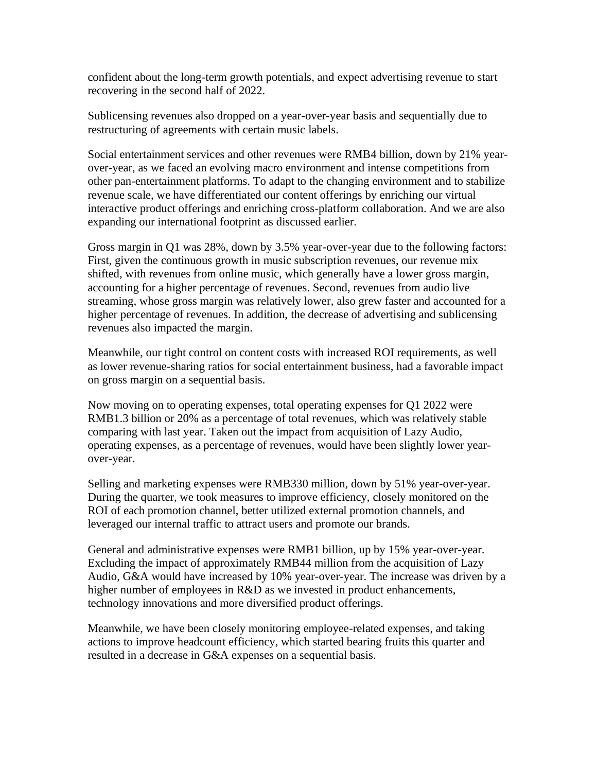confident about the long-term growth potentials, and expect advertising revenue to start recovering in the second half of 2022.

Sublicensing revenues also dropped on a year-over-year basis and sequentially due to restructuring of agreements with certain music labels.

Social entertainment services and other revenues were RMB4 billion, down by 21% yearover-year, as we faced an evolving macro environment and intense competitions from other pan-entertainment platforms. To adapt to the changing environment and to stabilize revenue scale, we have differentiated our content offerings by enriching our virtual interactive product offerings and enriching cross-platform collaboration. And we are also expanding our international footprint as discussed earlier.

Gross margin in Q1 was 28%, down by 3.5% year-over-year due to the following factors: First, given the continuous growth in music subscription revenues, our revenue mix shifted, with revenues from online music, which generally have a lower gross margin, accounting for a higher percentage of revenues. Second, revenues from audio live streaming, whose gross margin was relatively lower, also grew faster and accounted for a higher percentage of revenues. In addition, the decrease of advertising and sublicensing revenues also impacted the margin.

Meanwhile, our tight control on content costs with increased ROI requirements, as well as lower revenue-sharing ratios for social entertainment business, had a favorable impact on gross margin on a sequential basis.

Now moving on to operating expenses, total operating expenses for Q1 2022 were RMB1.3 billion or 20% as a percentage of total revenues, which was relatively stable comparing with last year. Taken out the impact from acquisition of Lazy Audio, operating expenses, as a percentage of revenues, would have been slightly lower yearover-year.

Selling and marketing expenses were RMB330 million, down by 51% year-over-year. During the quarter, we took measures to improve efficiency, closely monitored on the ROI of each promotion channel, better utilized external promotion channels, and leveraged our internal traffic to attract users and promote our brands.

General and administrative expenses were RMB1 billion, up by 15% year-over-year. Excluding the impact of approximately RMB44 million from the acquisition of Lazy Audio, G&A would have increased by 10% year-over-year. The increase was driven by a higher number of employees in R&D as we invested in product enhancements, technology innovations and more diversified product offerings.

Meanwhile, we have been closely monitoring employee-related expenses, and taking actions to improve headcount efficiency, which started bearing fruits this quarter and resulted in a decrease in G&A expenses on a sequential basis.